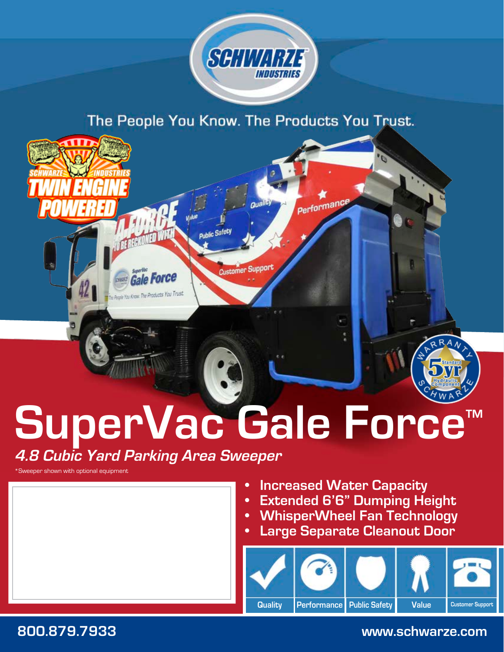

The People You Know. The Products You Trust.



# **SuperVac Gale Force™**

**4.8 Cubic Yard Parking Area Sweeper**

\*Sweeper shown with optional equipment



- **Increased Water Capacity**
- **Extended 6'6" Dumping Height**
- **• WhisperWheel Fan Technology**
- **Large Separate Cleanout Door**



**800.879.7933 www.schwarze.com**